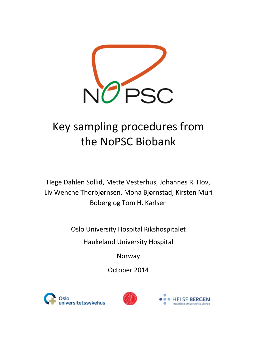

# Key sampling procedures from the NoPSC Biobank

Hege Dahlen Sollid, Mette Vesterhus, Johannes R. Hov, Liv Wenche Thorbjørnsen, Mona Bjørnstad, Kirsten Muri Boberg og Tom H. Karlsen

Oslo University Hospital Rikshospitalet

Haukeland University Hospital

Norway

October 2014





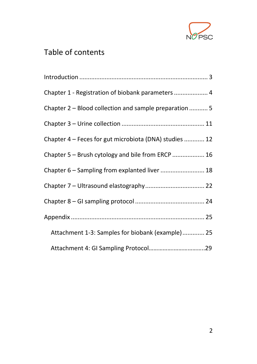

### Table of contents

| Chapter 1 - Registration of biobank parameters  4      |
|--------------------------------------------------------|
| Chapter 2 – Blood collection and sample preparation  5 |
|                                                        |
| Chapter 4 – Feces for gut microbiota (DNA) studies  12 |
| Chapter 5 - Brush cytology and bile from ERCP  16      |
| Chapter 6 - Sampling from explanted liver  18          |
|                                                        |
|                                                        |
|                                                        |
| Attachment 1-3: Samples for biobank (example) 25       |
|                                                        |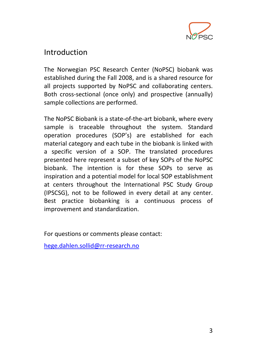

#### <span id="page-3-0"></span>Introduction

The Norwegian PSC Research Center (NoPSC) biobank was established during the Fall 2008, and is a shared resource for all projects supported by NoPSC and collaborating centers. Both cross-sectional (once only) and prospective (annually) sample collections are performed.

The NoPSC Biobank is a state-of-the-art biobank, where every sample is traceable throughout the system. Standard operation procedures (SOP's) are established for each material category and each tube in the biobank is linked with a specific version of a SOP. The translated procedures presented here represent a subset of key SOPs of the NoPSC biobank. The intention is for these SOPs to serve as inspiration and a potential model for local SOP establishment at centers throughout the International PSC Study Group (IPSCSG), not to be followed in every detail at any center. Best practice biobanking is a continuous process of improvement and standardization.

For questions or comments please contact:

[hege.dahlen.sollid@rr-research.no](mailto:hege.dahlen.sollid@rr-research.no)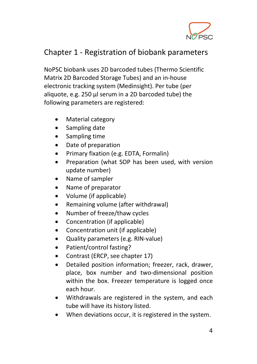

### <span id="page-4-0"></span>Chapter 1 - Registration of biobank parameters

NoPSC biobank uses 2D barcoded tubes (Thermo Scientific Matrix 2D Barcoded Storage Tubes) and an in-house electronic tracking system (Medinsight). Per tube (per aliquote, e.g. 250 µl serum in a 2D barcoded tube) the following parameters are registered:

- Material category
- Sampling date
- Sampling time
- Date of preparation
- Primary fixation (e.g. EDTA, Formalin)
- Preparation (what SOP has been used, with version update number)
- Name of sampler
- Name of preparator
- Volume (if applicable)
- Remaining volume (after withdrawal)
- Number of freeze/thaw cycles
- Concentration (if applicable)
- Concentration unit (if applicable)
- Quality parameters (e.g. RIN-value)
- Patient/control fasting?
- Contrast (ERCP, see chapter 17)
- Detailed position information; freezer, rack, drawer, place, box number and two-dimensional position within the box. Freezer temperature is logged once each hour.
- Withdrawals are registered in the system, and each tube will have its history listed.
- When deviations occur, it is registered in the system.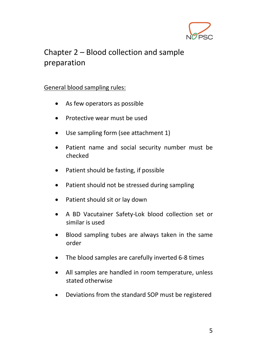

### <span id="page-5-0"></span>Chapter 2 – Blood collection and sample preparation

#### General blood sampling rules:

- As few operators as possible
- Protective wear must be used
- Use sampling form (see attachment 1)
- Patient name and social security number must be checked
- Patient should be fasting, if possible
- Patient should not be stressed during sampling
- Patient should sit or lay down
- A BD Vacutainer Safety-Lok blood collection set or similar is used
- Blood sampling tubes are always taken in the same order
- The blood samples are carefully inverted 6-8 times
- All samples are handled in room temperature, unless stated otherwise
- Deviations from the standard SOP must be registered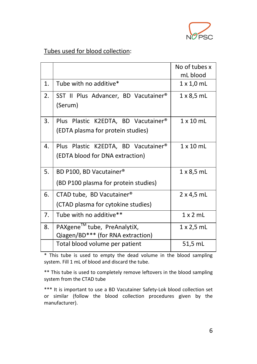

#### Tubes used for blood collection:

|                |                                      | No of tubes x     |
|----------------|--------------------------------------|-------------------|
|                |                                      | mL blood          |
| $\mathbf{1}$ . | Tube with no additive*               | $1 \times 1,0$ mL |
| 2.             | SST II Plus Advancer, BD Vacutainer® | $1 \times 8,5$ mL |
|                | (Serum)                              |                   |
| 3.             | Plus Plastic K2EDTA, BD Vacutainer®  | $1 \times 10$ mL  |
|                | (EDTA plasma for protein studies)    |                   |
| 4.             | Plus Plastic K2EDTA, BD Vacutainer®  | $1 \times 10$ mL  |
|                | (EDTA blood for DNA extraction)      |                   |
| 5.             | BD P100, BD Vacutainer®              | $1 \times 8,5$ mL |
|                | (BD P100 plasma for protein studies) |                   |
| 6.             | CTAD tube, BD Vacutainer®            | $2 \times 4,5$ mL |
|                | (CTAD plasma for cytokine studies)   |                   |
| 7.             | Tube with no additive**              | $1 \times 2$ mL   |
| 8.             | PAXgene™ tube, PreAnalytiX,          | $1 \times 2,5$ mL |
|                | Qiagen/BD*** (for RNA extraction)    |                   |
|                | Total blood volume per patient       | 51,5 mL           |

\* This tube is used to empty the dead volume in the blood sampling system. Fill 1 mL of blood and discard the tube.

\*\* This tube is used to completely remove leftovers in the blood sampling system from the CTAD tube

\*\*\* It is important to use a BD Vacutainer Safety-Lok blood collection set or similar (follow the blood collection procedures given by the manufacturer).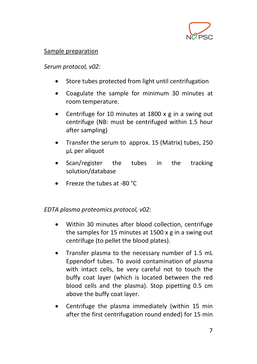

#### Sample preparation

#### *Serum protocol, v02:*

- Store tubes protected from light until centrifugation
- Coagulate the sample for minimum 30 minutes at room temperature.
- Centrifuge for 10 minutes at 1800 x g in a swing out centrifuge (NB: must be centrifuged within 1.5 hour after sampling)
- Transfer the serum to approx. 15 (Matrix) tubes, 250 µL per aliquot
- Scan/register the tubes in the tracking solution/database
- Freeze the tubes at -80 °C

#### *EDTA plasma proteomics protocol, v02:*

- Within 30 minutes after blood collection, centrifuge the samples for 15 minutes at 1500 x g in a swing out centrifuge (to pellet the blood plates).
- Transfer plasma to the necessary number of 1.5 mL Eppendorf tubes. To avoid contamination of plasma with intact cells, be very careful not to touch the buffy coat layer (which is located between the red blood cells and the plasma). Stop pipetting 0.5 cm above the buffy coat layer.
- Centrifuge the plasma immediately (within 15 min after the first centrifugation round ended) for 15 min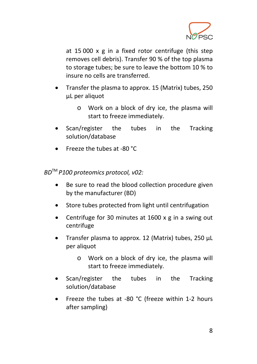

at 15 000 x g in a fixed rotor centrifuge (this step removes cell debris). Transfer 90 % of the top plasma to storage tubes; be sure to leave the bottom 10 % to insure no cells are transferred.

- Transfer the plasma to approx. 15 (Matrix) tubes, 250 µL per aliquot
	- o Work on a block of dry ice, the plasma will start to freeze immediately.
- Scan/register the tubes in the Tracking solution/database
- Freeze the tubes at -80 °C

*BD*TM *P100 proteomics protocol, v02:*

- Be sure to read the blood collection procedure given by the manufacturer (BD)
- Store tubes protected from light until centrifugation
- Centrifuge for 30 minutes at 1600 x g in a swing out centrifuge
- Transfer plasma to approx. 12 (Matrix) tubes, 250 µL per aliquot
	- o Work on a block of dry ice, the plasma will start to freeze immediately.
- Scan/register the tubes in the Tracking solution/database
- Freeze the tubes at -80 °C (freeze within 1-2 hours after sampling)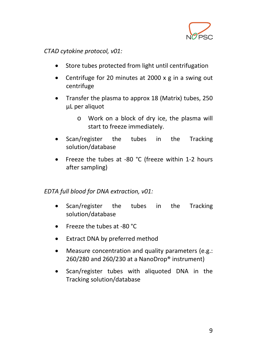

*CTAD cytokine protocol, v01:*

- Store tubes protected from light until centrifugation
- Centrifuge for 20 minutes at 2000 x g in a swing out centrifuge
- Transfer the plasma to approx 18 (Matrix) tubes, 250 µL per aliquot
	- o Work on a block of dry ice, the plasma will start to freeze immediately.
- Scan/register the tubes in the Tracking solution/database
- Freeze the tubes at -80 °C (freeze within 1-2 hours after sampling)

*EDTA full blood for DNA extraction, v01:*

- Scan/register the tubes in the Tracking solution/database
- Freeze the tubes at -80 °C
- Extract DNA by preferred method
- Measure concentration and quality parameters (e.g.: 260/280 and 260/230 at a NanoDrop® instrument)
- Scan/register tubes with aliquoted DNA in the Tracking solution/database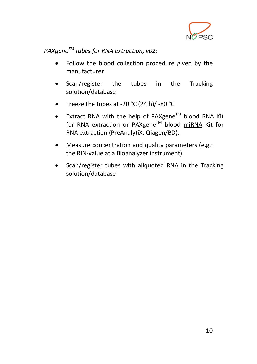

*PAXgeneTM tubes for RNA extraction, v02:*

- Follow the blood collection procedure given by the manufacturer
- Scan/register the tubes in the Tracking solution/database
- Freeze the tubes at -20 °C (24 h)/ -80 °C
- Extract RNA with the help of PAXgene™ blood RNA Kit for RNA extraction or PAXgene™ blood miRNA Kit for RNA extraction (PreAnalytiX, Qiagen/BD).
- Measure concentration and quality parameters (e.g.: the RIN-value at a Bioanalyzer instrument)
- Scan/register tubes with aliquoted RNA in the Tracking solution/database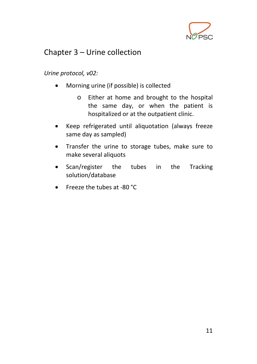

### <span id="page-11-0"></span>Chapter 3 – Urine collection

*Urine protocol, v02:*

- Morning urine (if possible) is collected
	- o Either at home and brought to the hospital the same day, or when the patient is hospitalized or at the outpatient clinic.
- Keep refrigerated until aliquotation (always freeze same day as sampled)
- Transfer the urine to storage tubes, make sure to make several aliquots
- Scan/register the tubes in the Tracking solution/database
- Freeze the tubes at -80 °C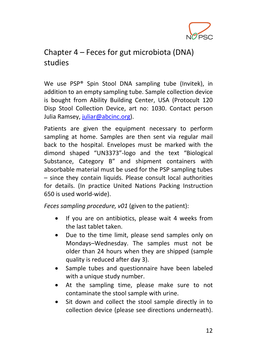

### <span id="page-12-0"></span>Chapter 4 – Feces for gut microbiota (DNA) studies

We use PSP® Spin Stool DNA sampling tube (Invitek), in addition to an empty sampling tube. Sample collection device is bought from Ability Building Center, USA (Protocult 120 Disp Stool Collection Device, art no: 1030. Contact person Julia Ramsey, [juliar@abcinc.org\)](mailto:juliar@abcinc.org).

Patients are given the equipment necessary to perform sampling at home. Samples are then sent via regular mail back to the hospital. Envelopes must be marked with the dimond shaped "UN3373"-logo and the text "Biological Substance, Category B" and shipment containers with absorbable material must be used for the PSP sampling tubes – since they contain liquids. Please consult local authorities for details. (In practice United Nations Packing Instruction 650 is used world-wide).

*Feces sampling procedure, v01* (given to the patient):

- If you are on antibiotics, please wait 4 weeks from the last tablet taken.
- Due to the time limit, please send samples only on Mondays–Wednesday. The samples must not be older than 24 hours when they are shipped (sample quality is reduced after day 3).
- Sample tubes and questionnaire have been labeled with a unique study number.
- At the sampling time, please make sure to not contaminate the stool sample with urine.
- Sit down and collect the stool sample directly in to collection device (please see directions underneath).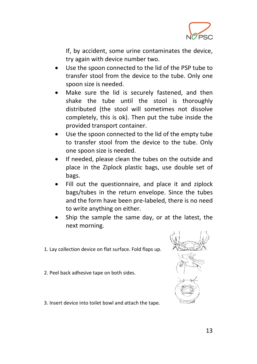

If, by accident, some urine contaminates the device, try again with device number two.

- Use the spoon connected to the lid of the PSP tube to transfer stool from the device to the tube. Only one spoon size is needed.
- Make sure the lid is securely fastened, and then shake the tube until the stool is thoroughly distributed (the stool will sometimes not dissolve completely, this is ok). Then put the tube inside the provided transport container.
- Use the spoon connected to the lid of the empty tube to transfer stool from the device to the tube. Only one spoon size is needed.
- If needed, please clean the tubes on the outside and place in the Ziplock plastic bags, use double set of bags.
- Fill out the questionnaire, and place it and ziplock bags/tubes in the return envelope. Since the tubes and the form have been pre-labeled, there is no need to write anything on either.
- Ship the sample the same day, or at the latest, the next morning.
- 1. Lay collection device on flat surface. Fold flaps up.
- 2. Peel back adhesive tape on both sides.



3. Insert device into toilet bowl and attach the tape.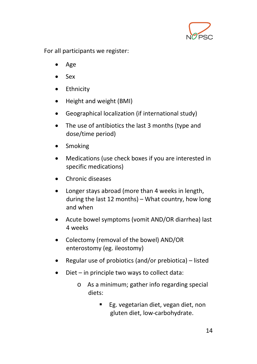

For all participants we register:

- Age
- Sex
- Ethnicity
- Height and weight (BMI)
- Geographical localization (if international study)
- The use of antibiotics the last 3 months (type and dose/time period)
- Smoking
- Medications (use check boxes if you are interested in specific medications)
- Chronic diseases
- Longer stays abroad (more than 4 weeks in length, during the last 12 months) – What country, how long and when
- Acute bowel symptoms (vomit AND/OR diarrhea) last 4 weeks
- Colectomy (removal of the bowel) AND/OR enterostomy (eg. ileostomy)
- Regular use of probiotics (and/or prebiotica) listed
- Diet in principle two ways to collect data:
	- o As a minimum; gather info regarding special diets:
		- Eg. vegetarian diet, vegan diet, non gluten diet, low-carbohydrate.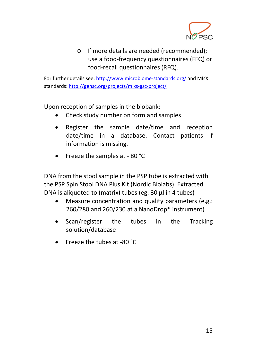

o If more details are needed (recommended); use a food-frequency questionnaires (FFQ) or food-recall questionnaires (RFQ).

For further details see[: http://www.microbiome-standards.org/](http://www.microbiome-standards.org/) and MIsX standards[: http://gensc.org/projects/mixs-gsc-project/](http://gensc.org/projects/mixs-gsc-project/)

Upon reception of samples in the biobank:

- Check study number on form and samples
- Register the sample date/time and reception date/time in a database. Contact patients if information is missing.
- Freeze the samples at 80 °C

DNA from the stool sample in the PSP tube is extracted with the PSP Spin Stool DNA Plus Kit (Nordic Biolabs). Extracted DNA is aliquoted to (matrix) tubes (eg. 30 µl in 4 tubes)

- Measure concentration and quality parameters (e.g.: 260/280 and 260/230 at a NanoDrop® instrument)
- Scan/register the tubes in the Tracking solution/database
- Freeze the tubes at -80 °C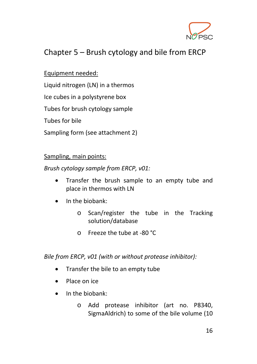

### <span id="page-16-0"></span>Chapter 5 – Brush cytology and bile from ERCP

#### Equipment needed:

Liquid nitrogen (LN) in a thermos

Ice cubes in a polystyrene box

Tubes for brush cytology sample

Tubes for bile

Sampling form (see attachment 2)

#### Sampling, main points:

*Brush cytology sample from ERCP, v01:*

- Transfer the brush sample to an empty tube and place in thermos with LN
- In the biobank:
	- o Scan/register the tube in the Tracking solution/database
	- o Freeze the tube at -80 °C

*Bile from ERCP, v01 (with or without protease inhibitor):*

- Transfer the bile to an empty tube
- Place on ice
- In the biobank:
	- o Add protease inhibitor (art no. P8340, SigmaAldrich) to some of the bile volume (10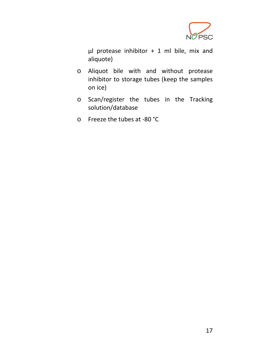

 $\mu$ l protease inhibitor + 1 ml bile, mix and aliquote)

- o Aliquot bile with and without protease inhibitor to storage tubes (keep the samples on ice)
- o Scan/register the tubes in the Tracking solution/database
- o Freeze the tubes at -80 °C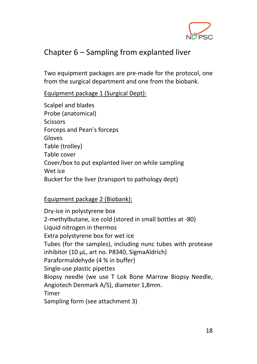

### <span id="page-18-0"></span>Chapter 6 – Sampling from explanted liver

Two equipment packages are pre-made for the protocol, one from the surgical department and one from the biobank.

Equipment package 1 (Surgical Dept):

Scalpel and blades Probe (anatomical) **Scissors** Forceps and Pean's forceps Gloves Table (trolley) Table cover Cover/box to put explanted liver on while sampling Wet ice Bucket for the liver (transport to pathology dept)

#### Equipment package 2 (Biobank):

Dry-ice in polystyrene box 2-methylbutane, ice cold (stored in small bottles at -80) Liquid nitrogen in thermos Extra polystyrene box for wet ice Tubes (for the samples), including nunc tubes with protease inhibitor (10 µL, art no. P8340, SigmaAldrich) Paraformaldehyde (4 % in buffer) Single-use plastic pipettes Biopsy needle (we use T Lok Bone Marrow Biopsy Needle, Angiotech Denmark A/S), diameter 1,8mm. Timer Sampling form (see attachment 3)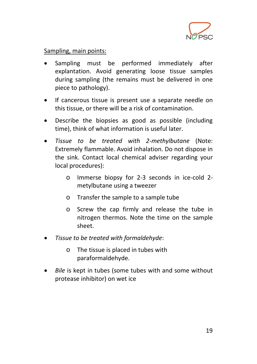

#### Sampling, main points:

- Sampling must be performed immediately after explantation. Avoid generating loose tissue samples during sampling (the remains must be delivered in one piece to pathology).
- If cancerous tissue is present use a separate needle on this tissue, or there will be a risk of contamination.
- Describe the biopsies as good as possible (including time), think of what information is useful later.
- *Tissue to be treated with 2-methylbutane* (Note: Extremely flammable. Avoid inhalation. Do not dispose in the sink. Contact local chemical adviser regarding your local procedures):
	- o Immerse biopsy for 2-3 seconds in ice-cold 2 metylbutane using a tweezer
	- o Transfer the sample to a sample tube
	- o Screw the cap firmly and release the tube in nitrogen thermos. Note the time on the sample sheet.
- *Tissue to be treated with formaldehyde*:
	- o The tissue is placed in tubes with paraformaldehyde.
- *Bile* is kept in tubes (some tubes with and some without protease inhibitor) on wet ice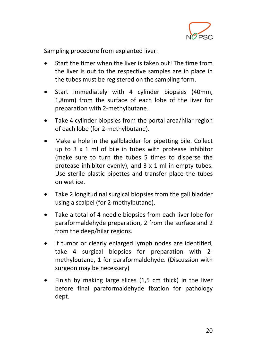

Sampling procedure from explanted liver:

- Start the timer when the liver is taken out! The time from the liver is out to the respective samples are in place in the tubes must be registered on the sampling form.
- Start immediately with 4 cylinder biopsies (40mm, 1,8mm) from the surface of each lobe of the liver for preparation with 2-methylbutane.
- Take 4 cylinder biopsies from the portal area/hilar region of each lobe (for 2-methylbutane).
- Make a hole in the gallbladder for pipetting bile. Collect up to 3 x 1 ml of bile in tubes with protease inhibitor (make sure to turn the tubes 5 times to disperse the protease inhibitor evenly), and 3 x 1 ml in empty tubes. Use sterile plastic pipettes and transfer place the tubes on wet ice.
- Take 2 longitudinal surgical biopsies from the gall bladder using a scalpel (for 2-methylbutane).
- Take a total of 4 needle biopsies from each liver lobe for paraformaldehyde preparation, 2 from the surface and 2 from the deep/hilar regions.
- If tumor or clearly enlarged lymph nodes are identified, take 4 surgical biopsies for preparation with 2 methylbutane, 1 for paraformaldehyde. (Discussion with surgeon may be necessary)
- Finish by making large slices (1,5 cm thick) in the liver before final paraformaldehyde fixation for pathology dept.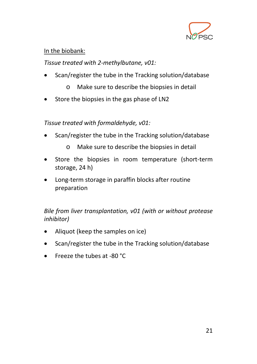

#### In the biobank:

*Tissue treated with 2-methylbutane, v01:*

- Scan/register the tube in the Tracking solution/database
	- o Make sure to describe the biopsies in detail
- Store the biopsies in the gas phase of LN2

*Tissue treated with formaldehyde, v01:*

- Scan/register the tube in the Tracking solution/database
	- o Make sure to describe the biopsies in detail
- Store the biopsies in room temperature (short-term storage, 24 h)
- Long-term storage in paraffin blocks after routine preparation

*Bile from liver transplantation, v01 (with or without protease inhibitor)*

- Aliquot (keep the samples on ice)
- Scan/register the tube in the Tracking solution/database
- Freeze the tubes at -80 °C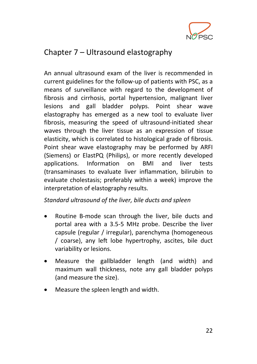

### <span id="page-22-0"></span>Chapter 7 – Ultrasound elastography

An annual ultrasound exam of the liver is recommended in current guidelines for the follow-up of patients with PSC, as a means of surveillance with regard to the development of fibrosis and cirrhosis, portal hypertension, malignant liver lesions and gall bladder polyps. Point shear wave elastography has emerged as a new tool to evaluate liver fibrosis, measuring the speed of ultrasound-initiated shear waves through the liver tissue as an expression of tissue elasticity, which is correlated to histological grade of fibrosis. Point shear wave elastography may be performed by ARFI (Siemens) or ElastPQ (Philips), or more recently developed applications. Information on BMI and liver tests (transaminases to evaluate liver inflammation, bilirubin to evaluate cholestasis; preferably within a week) improve the interpretation of elastography results.

*Standard ultrasound of the liver, bile ducts and spleen*

- Routine B-mode scan through the liver, bile ducts and portal area with a 3.5-5 MHz probe. Describe the liver capsule (regular / irregular), parenchyma (homogeneous / coarse), any left lobe hypertrophy, ascites, bile duct variability or lesions.
- Measure the gallbladder length (and width) and maximum wall thickness, note any gall bladder polyps (and measure the size).
- Measure the spleen length and width.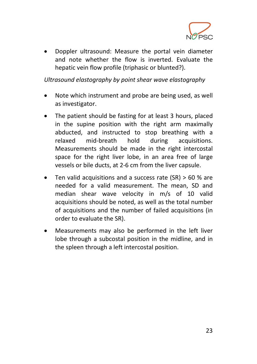

• Doppler ultrasound: Measure the portal vein diameter and note whether the flow is inverted. Evaluate the hepatic vein flow profile (triphasic or blunted?).

*Ultrasound elastography by point shear wave elastography*

- Note which instrument and probe are being used, as well as investigator.
- The patient should be fasting for at least 3 hours, placed in the supine position with the right arm maximally abducted, and instructed to stop breathing with a relaxed mid-breath hold during acquisitions. Measurements should be made in the right intercostal space for the right liver lobe, in an area free of large vessels or bile ducts, at 2-6 cm from the liver capsule.
- Ten valid acquisitions and a success rate  $(SR) > 60$  % are needed for a valid measurement. The mean, SD and median shear wave velocity in m/s of 10 valid acquisitions should be noted, as well as the total number of acquisitions and the number of failed acquisitions (in order to evaluate the SR).
- Measurements may also be performed in the left liver lobe through a subcostal position in the midline, and in the spleen through a left intercostal position.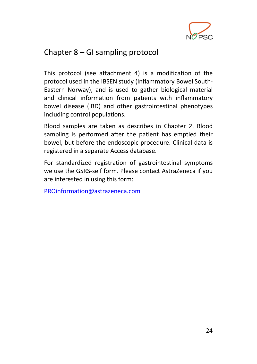

### <span id="page-24-0"></span>Chapter 8 – GI sampling protocol

This protocol (see attachment 4) is a modification of the protocol used in the IBSEN study (Inflammatory Bowel South-Eastern Norway), and is used to gather biological material and clinical information from patients with inflammatory bowel disease (IBD) and other gastrointestinal phenotypes including control populations.

Blood samples are taken as describes in Chapter 2. Blood sampling is performed after the patient has emptied their bowel, but before the endoscopic procedure. Clinical data is registered in a separate Access database.

For standardized registration of gastrointestinal symptoms we use the GSRS-self form. Please contact AstraZeneca if you are interested in using this form:

[PROinformation@astrazeneca.com](mailto:PROinformation@astrazeneca.com)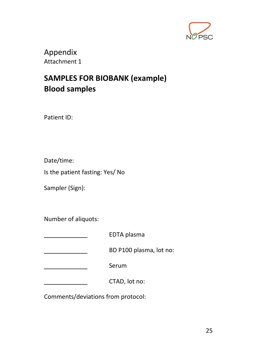

<span id="page-25-0"></span>Appendix Attachment 1

### <span id="page-25-1"></span>**SAMPLES FOR BIOBANK (example) Blood samples**

Patient ID:

Date/time:

Is the patient fasting: Yes/ No

Sampler (Sign):

Number of aliquots:

EDTA plasma BD P100 plasma, lot no: Serum CTAD, lot no:

Comments/deviations from protocol: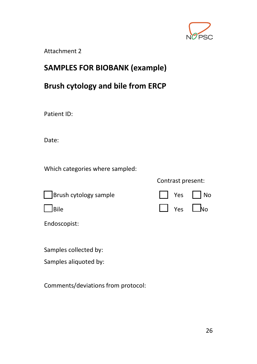

Attachment 2

### **SAMPLES FOR BIOBANK (example)**

### **Brush cytology and bile from ERCP**

Patient ID:

Date:

Which categories where sampled:

| Brush cytology sample | $\Box$ Yes $\Box$ No |  |
|-----------------------|----------------------|--|

Endoscopist:

Samples collected by:

Samples aliquoted by:

Comments/deviations from protocol:

Contrast present:

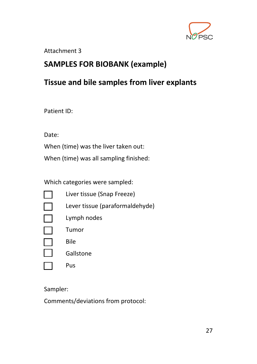

#### Attachment 3

#### **SAMPLES FOR BIOBANK (example)**

#### **Tissue and bile samples from liver explants**

Patient ID:

Date:

When (time) was the liver taken out:

When (time) was all sampling finished:

Which categories were sampled:

| Liver tissue (Snap Freeze)      |
|---------------------------------|
| Lever tissue (paraformaldehyde) |
| Lymph nodes                     |
| Tumor                           |
| Bile                            |
| Gallstone                       |
| Pus                             |
|                                 |

Sampler:

Comments/deviations from protocol: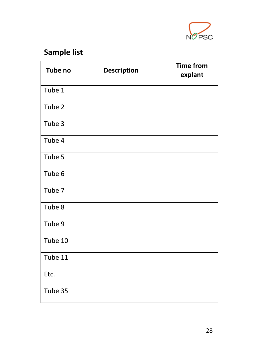

# **Sample list**

| Tube no | <b>Description</b> | <b>Time from</b><br>explant |
|---------|--------------------|-----------------------------|
| Tube 1  |                    |                             |
| Tube 2  |                    |                             |
| Tube 3  |                    |                             |
| Tube 4  |                    |                             |
| Tube 5  |                    |                             |
| Tube 6  |                    |                             |
| Tube 7  |                    |                             |
| Tube 8  |                    |                             |
| Tube 9  |                    |                             |
| Tube 10 |                    |                             |
| Tube 11 |                    |                             |
| Etc.    |                    |                             |
| Tube 35 |                    |                             |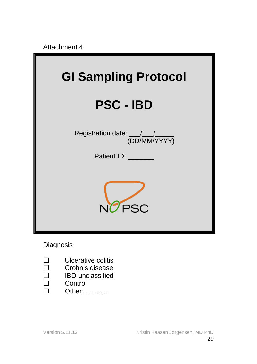Attachment 4



**Diagnosis** 

- $\Box$  Ulcerative colitis<br> $\Box$  Crohn's disease
- $\square$  Crohn's disease<br> $\square$  IBD-unclassified
- IBD-unclassified
- $\Box$  Control
- Other: ………..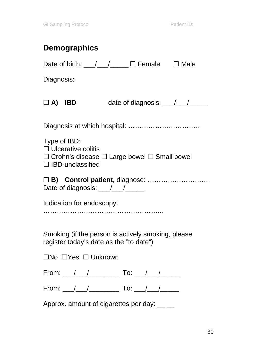|              | <b>Demographics</b>                                                                                                                                                                                                            |  |                               |
|--------------|--------------------------------------------------------------------------------------------------------------------------------------------------------------------------------------------------------------------------------|--|-------------------------------|
|              | Date of birth: __/ __/ ___ □ Female □ Male                                                                                                                                                                                     |  |                               |
| Diagnosis:   |                                                                                                                                                                                                                                |  |                               |
|              | $\Box$ A) IBD                                                                                                                                                                                                                  |  | date of diagnosis: __/__/____ |
|              |                                                                                                                                                                                                                                |  |                               |
| Type of IBD: | $\Box$ Ulcerative colitis<br>$\Box$ Crohn's disease $\Box$ Large bowel $\Box$ Small bowel<br>$\Box$ IBD-unclassified                                                                                                           |  |                               |
|              | Date of diagnosis: \[\squad{\sqrt{\sqrt{\sqrt{\sqrt{\sqrt{\sqrt{\sqrt{\sqrt{\sqrt{\sqrt{\sqrt{\sqrt{\sqrt{\sqrt{\sqrt{\sqrt{\sqrt{\sqrt{\sqrt{\sqrt{\sqrt{\sqrt{\sqrt{\sqrt{\sqrt{\sqrt{\sqrt{\sqrt{\sqrt{\sqrt{\sqrt{\sqrt{\s |  |                               |
|              | Indication for endoscopy:                                                                                                                                                                                                      |  |                               |
|              | Smoking (if the person is actively smoking, please<br>register today's date as the "to date")                                                                                                                                  |  |                               |
|              | □No □Yes □ Unknown                                                                                                                                                                                                             |  |                               |
|              |                                                                                                                                                                                                                                |  |                               |
|              | From: $1/$ $1/$ To: $1/$                                                                                                                                                                                                       |  |                               |
|              | Approx. amount of cigarettes per day: __ _                                                                                                                                                                                     |  |                               |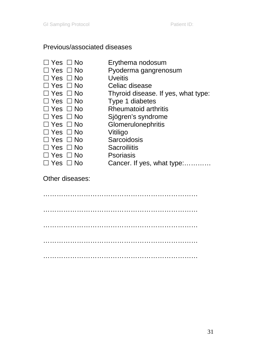#### Previous/associated diseases

- 
- $\Box$  Yes  $\Box$  No Erythema nodosum<br> $\Box$  Yes  $\Box$  No Pvoderma gangreng Pyoderma gangrenosum
- 
- $\Box$  Yes  $\Box$  No Uveitis<br> $\Box$  Yes  $\Box$  No Celiac
- $\square$  Yes  $\square$  No Celiac disease<br>  $\square$  Yes  $\square$  No Thyroid disease Thyroid disease. If yes, what type:
- $\Box$  Yes  $\Box$  No Type 1 diabetes  $\Box$  Yes  $\Box$  No Rheumatoid arth
- $\Box$  Yes  $\Box$  No Rheumatoid arthritis  $\Box$  Yes  $\Box$  No Siögren's syndrome
- $\square$  Yes  $\square$  No Sjögren's syndrome<br>  $\square$  Yes  $\square$  No Glomerulonephritis
	- Glomerulonephritis<br>Vitiligo
- $\Box$  Yes  $\Box$  No
- $\Box$  Yes  $\Box$  No Sarcoidosis
- $\Box$  Yes  $\Box$  No Sacroiliitis<br> $\Box$  Yes  $\Box$  No Psoriasis
- $\Box$  Yes  $\Box$  No
	-
- 
- □ Yes □ No Cancer. If yes, what type:............

#### Other diseases:

…………………………………………………………… …………………………………………………………… …………………………………………………………… …………………………………………………………… ……………………………………………………………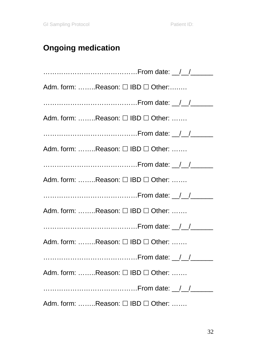# **Ongoing medication**

| Adm. form: Reason: □ IBD □ Other:                 |
|---------------------------------------------------|
|                                                   |
| Adm. form: Reason: □ IBD □ Other:                 |
|                                                   |
| Adm. form: Reason: □ IBD □ Other:                 |
|                                                   |
| Adm. form: Reason: $\square$ IBD $\square$ Other: |
|                                                   |
| Adm. form: Reason: $\Box$ IBD $\Box$ Other:       |
|                                                   |
| Adm. form: Reason: □ IBD □ Other:                 |
|                                                   |
| Adm. form: Reason: $\Box$ IBD $\Box$ Other:       |
|                                                   |
| Adm. form: Reason: □ IBD □ Other:                 |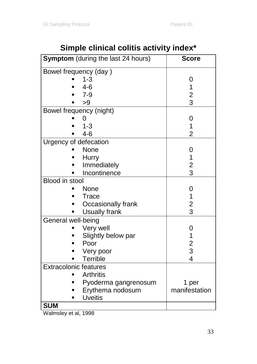| <b>Symptom</b> (during the last 24 hours) | <b>Score</b>            |
|-------------------------------------------|-------------------------|
| Bowel frequency (day)                     |                         |
| $1 - 3$                                   | 0                       |
| $4 - 6$                                   | 1                       |
| $7 - 9$                                   | $\overline{\mathbf{c}}$ |
| >9                                        | 3                       |
| Bowel frequency (night)                   |                         |
| 0                                         | 0                       |
| $1 - 3$                                   | 1                       |
| $4 - 6$                                   | 2                       |
| Urgency of defecation                     |                         |
| None                                      | 0                       |
| Hurry                                     | 1                       |
| Immediately                               | $\frac{2}{3}$           |
| Incontinence                              |                         |
| Blood in stool                            |                         |
| None                                      | 0                       |
| Trace                                     | 1                       |
| Occasionally frank                        | $\frac{2}{3}$           |
| <b>Usually frank</b>                      |                         |
| General well-being                        |                         |
| Very well                                 | 0                       |
| Slightly below par                        | $\mathbf{1}$            |
| Poor                                      | $\frac{2}{3}$           |
| Very poor                                 |                         |
| Terrible                                  | 4                       |
| <b>Extracolonic features</b>              |                         |
| <b>Arthritis</b>                          |                         |
| Pyoderma gangrenosum                      | 1 per                   |
| Erythema nodosum                          | manifestation           |
| <b>Uveitis</b>                            |                         |
| <b>SUM</b>                                |                         |

# **Simple clinical colitis activity index\***

Walmsley et al, 1998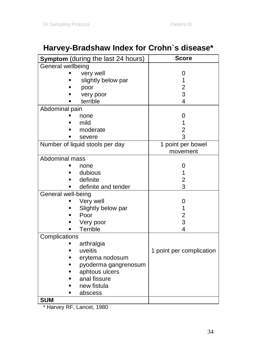# **Harvey-Bradshaw Index for Crohn`s disease\***

| <b>Symptom</b> (during the last 24 hours) | Score                    |
|-------------------------------------------|--------------------------|
| General wellbeing                         |                          |
| very well                                 | 0                        |
| slightly below par                        | 1                        |
| poor                                      | 2<br>3                   |
| very poor                                 |                          |
| terrible                                  | 4                        |
| Abdominal pain                            |                          |
| none                                      | 0                        |
| mild                                      | 1                        |
| moderate                                  | $\overline{c}$           |
| severe                                    | 3                        |
| Number of liquid stools per day           | 1 point per bowel        |
|                                           | movement                 |
| Abdominal mass                            |                          |
| none                                      | 0                        |
| dubious                                   | 1                        |
| definite                                  | $\overline{c}$           |
| definite and tender                       | 3                        |
| General well-being                        |                          |
| Very well                                 | 0                        |
| Slightly below par<br>Ξ                   | 1                        |
| Poor                                      | $\frac{2}{3}$            |
| Very poor                                 |                          |
| Terrible                                  | 4                        |
| Complications                             |                          |
| arthralgia                                |                          |
| uveitis                                   | 1 point per complication |
| erytema nodosum<br>■                      |                          |
| pyoderma gangrenosum                      |                          |
| aphtous ulcers                            |                          |
| anal fissure                              |                          |
| new fistula                               |                          |
| abscess<br>■                              |                          |
| <b>SUM</b>                                |                          |

\* Harvey RF, Lancet, 1980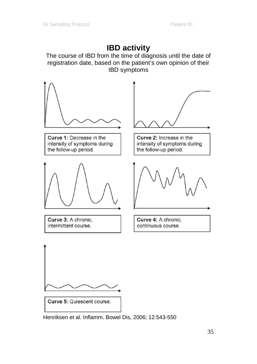### **IBD activity**

The course of IBD from the time of diagnosis until the date of registration date, based on the patient's own opinion of their IBD symptoms



Henriksen et al. Inflamm. Bowel Dis, 2006; 12:543-550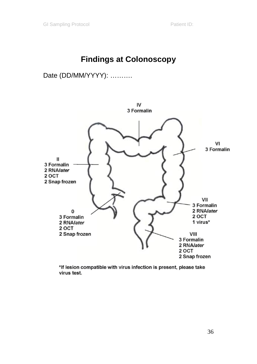### **Findings at Colonoscopy**

#### Date (DD/MM/YYYY): ……….



\*If lesion compatible with virus infection is present, please take virus test.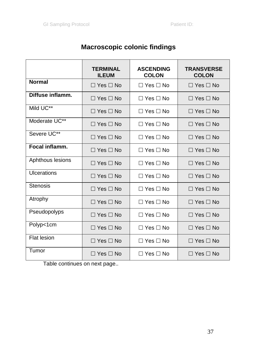### **Macroscopic colonic findings**

|                  | <b>TERMINAL</b><br><b>ILEUM</b> | <b>ASCENDING</b><br><b>COLON</b> | <b>TRANSVERSE</b><br><b>COLON</b> |
|------------------|---------------------------------|----------------------------------|-----------------------------------|
| <b>Normal</b>    | $\Box$ Yes $\Box$ No            | $\Box$ Yes $\Box$ No             | $\Box$ Yes $\Box$ No              |
| Diffuse inflamm. | $\Box$ Yes $\Box$ No            | $\Box$ Yes $\Box$ No             | $\Box$ Yes $\Box$ No              |
| Mild UC**        | $\Box$ Yes $\Box$ No            | $\Box$ Yes $\Box$ No             | $\Box$ Yes $\Box$ No              |
| Moderate UC**    | $\Box$ Yes $\Box$ No            | $\Box$ Yes $\Box$ No             | $\Box$ Yes $\Box$ No              |
| Severe UC**      | $\Box$ Yes $\Box$ No            | $\Box$ Yes $\Box$ No             | $\Box$ Yes $\Box$ No              |
| Focal inflamm.   | $\Box$ Yes $\Box$ No            | $\Box$ Yes $\Box$ No             | $\Box$ Yes $\Box$ No              |
| Aphthous lesions | $\Box$ Yes $\Box$ No            | $\Box$ Yes $\Box$ No             | $\Box$ Yes $\Box$ No              |
| Ulcerations      | $\Box$ Yes $\Box$ No            | $\Box$ Yes $\Box$ No             | $\Box$ Yes $\Box$ No              |
| Stenosis         | $\Box$ Yes $\Box$ No            | $\Box$ Yes $\Box$ No             | $\Box$ Yes $\Box$ No              |
| Atrophy          | $\Box$ Yes $\Box$ No            | $\Box$ Yes $\Box$ No             | $\Box$ Yes $\Box$ No              |
| Pseudopolyps     | $\Box$ Yes $\Box$ No            | $\Box$ Yes $\Box$ No             | $\Box$ Yes $\Box$ No              |
| Polyp<1cm        | $\Box$ Yes $\Box$ No            | $\Box$ Yes $\Box$ No             | $\Box$ Yes $\Box$ No              |
| Flat lesion      | $\Box$ Yes $\Box$ No            | $\Box$ Yes $\Box$ No             | $\Box$ Yes $\Box$ No              |
| Tumor            | $\Box$ Yes $\Box$ No            | $\Box$ Yes $\Box$ No             | $\Box$ Yes $\Box$ No              |

Table continues on next page..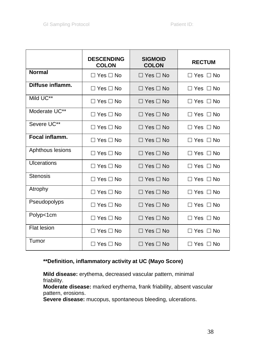|                  | <b>DESCENDING</b><br><b>COLON</b> | <b>SIGMOID</b><br><b>COLON</b> | <b>RECTUM</b>        |
|------------------|-----------------------------------|--------------------------------|----------------------|
| <b>Normal</b>    | $\Box$ Yes $\Box$ No              | $\Box$ Yes $\Box$ No           | $\Box$ Yes $\Box$ No |
| Diffuse inflamm. | $\Box$ Yes $\Box$ No              | $\Box$ Yes $\Box$ No           | Π Yes Π No           |
| Mild UC**        | $\Box$ Yes $\Box$ No              | $\Box$ Yes $\Box$ No           | $\Box$ Yes $\Box$ No |
| Moderate UC**    | $\Box$ Yes $\Box$ No              | $\Box$ Yes $\Box$ No           | $\Box$ Yes $\Box$ No |
| Severe UC**      | $\Box$ Yes $\Box$ No              | $\Box$ Yes $\Box$ No           | $\Box$ Yes $\Box$ No |
| Focal inflamm.   | $\Box$ Yes $\Box$ No              | $\Box$ Yes $\Box$ No           | $\Box$ Yes $\Box$ No |
| Aphthous lesions | □ Yes □ No                        | $\Box$ Yes $\Box$ No           | $\Box$ Yes $\Box$ No |
| Ulcerations      | $\Box$ Yes $\Box$ No              | $\Box$ Yes $\Box$ No           | $\Box$ Yes $\Box$ No |
| <b>Stenosis</b>  | $\Box$ Yes $\Box$ No              | $\Box$ Yes $\Box$ No           | $\Box$ Yes $\Box$ No |
| Atrophy          | $\Box$ Yes $\Box$ No              | $\Box$ Yes $\Box$ No           | $\Box$ Yes $\Box$ No |
| Pseudopolyps     | $\Box$ Yes $\Box$ No              | $\Box$ Yes $\Box$ No           | $\Box$ Yes $\Box$ No |
| Polyp<1cm        | $\Box$ Yes $\Box$ No              | $\Box$ Yes $\Box$ No           | $\Box$ Yes $\Box$ No |
| Flat lesion      | $\Box$ Yes $\Box$ No              | $\Box$ Yes $\Box$ No           | $\Box$ Yes $\Box$ No |
| Tumor            | □ Yes □ No                        | $\Box$ Yes $\Box$ No           | $\Box$ Yes $\Box$ No |

#### **\*\*Definition, inflammatory activity at UC (Mayo Score)**

**Mild disease:** erythema, decreased vascular pattern, minimal friability.

**Moderate disease:** marked erythema, frank friability, absent vascular pattern, erosions.

**Severe disease:** mucopus, spontaneous bleeding, ulcerations.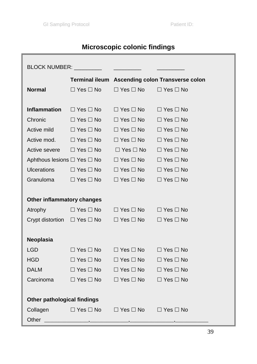# **Microscopic colonic findings**

| BLOCK NUMBER: __________<br><u> Alexandria de la conte</u> |                                        |                                           |                                                 |  |
|------------------------------------------------------------|----------------------------------------|-------------------------------------------|-------------------------------------------------|--|
|                                                            |                                        |                                           | Terminal ileum Ascending colon Transverse colon |  |
| <b>Normal</b>                                              | $\Box$ Yes $\Box$ No                   | $\Box$ Yes $\Box$ No $\Box$               | $\Box$ Yes $\Box$ No                            |  |
|                                                            |                                        |                                           |                                                 |  |
| Inflammation                                               | $\Box$ Yes $\Box$ No                   | $\Box$ Yes $\Box$ No                      | $\Box$ Yes $\Box$ No                            |  |
| Chronic                                                    | $\square$ Yes $\square$ No $\square$   | $\Box$ Yes $\Box$ No                      | $\Box$ Yes $\Box$ No                            |  |
| Active mild                                                | $\Box$ Yes $\Box$ No                   | $\square$ Yes $\square$ No                | $\Box$ Yes $\Box$ No                            |  |
|                                                            | Active mod. □ Yes □ No                 | $\Box$ Yes $\Box$ No                      | $\Box$ Yes $\Box$ No                            |  |
|                                                            | Active severe □ Yes □ No □ Yes □ No    |                                           | $\Box$ Yes $\Box$ No                            |  |
|                                                            | Aphthous lesions □ Yes □ No            | $\Box$ Yes $\Box$ No                      | $\Box$ Yes $\Box$ No                            |  |
| <b>Ulcerations</b>                                         | $\Box$ Yes $\Box$ No                   | $\Box$ Yes $\Box$ No                      | $\Box$ Yes $\Box$ No                            |  |
| Granuloma                                                  | $\Box$ Yes $\Box$ No                   | $\Box$ Yes $\Box$ No                      | $\Box$ Yes $\Box$ No                            |  |
|                                                            |                                        |                                           |                                                 |  |
| Other inflammatory changes                                 |                                        |                                           |                                                 |  |
| Atrophy                                                    | $\square$ Yes $\square$ No             | $\Box$ Yes $\Box$ No $\Box$ Yes $\Box$ No |                                                 |  |
|                                                            | Crypt distortion □ Yes □ No □ Yes □ No |                                           | $\Box$ Yes $\Box$ No                            |  |
|                                                            |                                        |                                           |                                                 |  |
| Neoplasia                                                  |                                        |                                           |                                                 |  |
| <b>LGD</b>                                                 | $\Box$ Yes $\Box$ No $\Box$            | $\Box$ Yes $\Box$ No $\Box$               | $\Box$ Yes $\Box$ No                            |  |
| HGD.                                                       | $\Box$ Yes $\Box$ No $\Box$            | $\Box$ Yes $\Box$ No $\Box$               | $\Box$ Yes $\Box$ No                            |  |
| <b>DALM</b>                                                | $\Box$ Yes $\Box$ No $\Box$            | $\Box$ Yes $\Box$ No                      | $\Box$ Yes $\Box$ No                            |  |
| Carcinoma                                                  | $\square$ Yes $\square$ No             | $\square$ Yes $\square$ No                | $\Box$ Yes $\Box$ No                            |  |
|                                                            |                                        |                                           |                                                 |  |
| Other pathological findings                                |                                        |                                           |                                                 |  |
|                                                            | Collagen □ Yes □ No                    | $\Box$ Yes $\Box$ No $\Box$ Yes $\Box$ No |                                                 |  |
| Other                                                      | $\overline{\phantom{a}}$               | $\rightarrow$                             |                                                 |  |